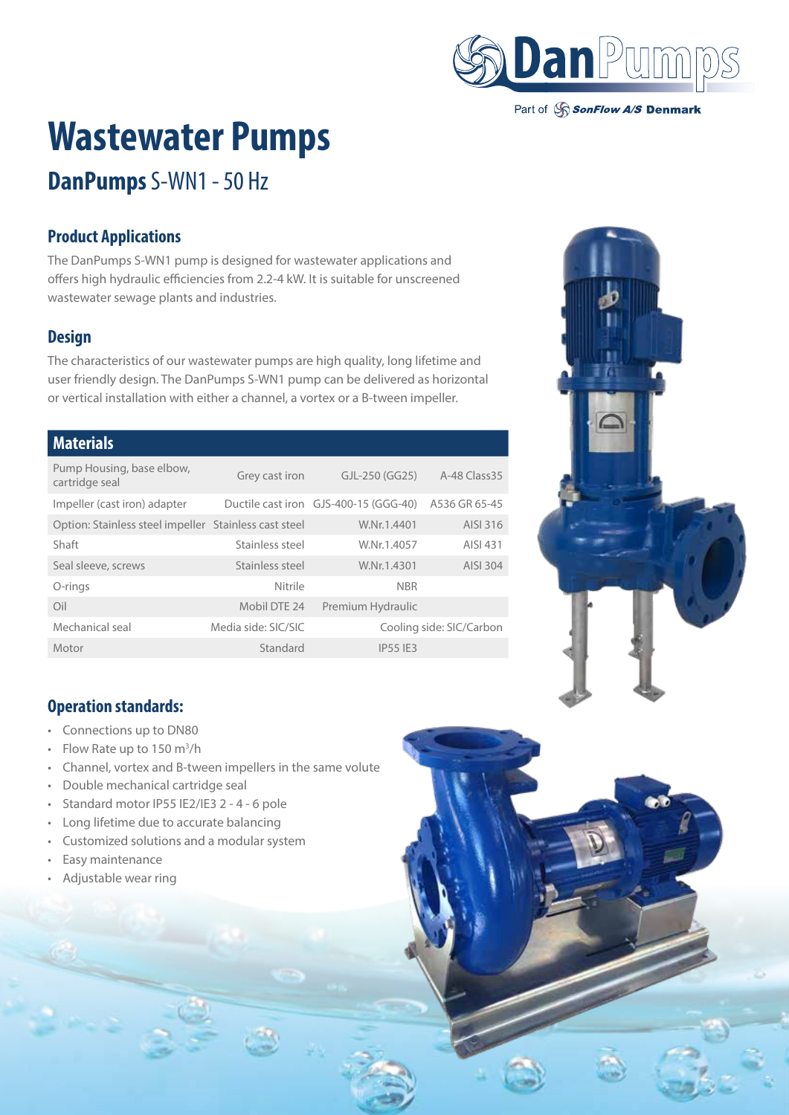

Part of SonFlow A/S Denmark

# **Wastewater Pumps**

# **DanPumps** S-WN1 - 50 Hz

## **Product Applications**

The DanPumps S-WN1 pump is designed for wastewater applications and offers high hydraulic efficiencies from 2.2-4 kW. It is suitable for unscreened wastewater sewage plants and industries.

#### **Design**

The characteristics of our wastewater pumps are high quality, long lifetime and user friendly design. The DanPumps S-WN1 pump can be delivered as horizontal or vertical installation with either a channel, a vortex or a B-tween impeller.

#### **Materials**

| Pump Housing, base elbow,<br>cartridge seal           | Grey cast iron      | GJL-250 (GG25)                        | A-48 Class 35            |  |
|-------------------------------------------------------|---------------------|---------------------------------------|--------------------------|--|
| Impeller (cast iron) adapter                          |                     | Ductile cast iron GJS-400-15 (GGG-40) | A536 GR 65-45            |  |
| Option: Stainless steel impeller Stainless cast steel |                     | W.Nr.1.4401                           | AISI 316                 |  |
| Shaft                                                 | Stainless steel     | W.Nr.1.4057                           | AISI 431                 |  |
| Seal sleeve, screws                                   | Stainless steel     | W.Nr.1.4301                           | AISI 304                 |  |
| O-rings                                               | Nitrile             | <b>NBR</b>                            |                          |  |
| Oil                                                   | Mobil DTE 24        | Premium Hydraulic                     |                          |  |
| Mechanical seal                                       | Media side: SIC/SIC |                                       | Cooling side: SIC/Carbon |  |
| Motor                                                 | Standard            | <b>IP55 IF3</b>                       |                          |  |



## **Operation standards:**

- Connections up to DN80
- Flow Rate up to  $150 \text{ m}^3/\text{h}$
- Channel, vortex and B-tween impellers in the same volute
- Double mechanical cartridge seal
- Standard motor IP55 IE2/IE3 2 4 6 pole
- Long lifetime due to accurate balancing
- Customized solutions and a modular system
- Easy maintenance
- Adjustable wear ring